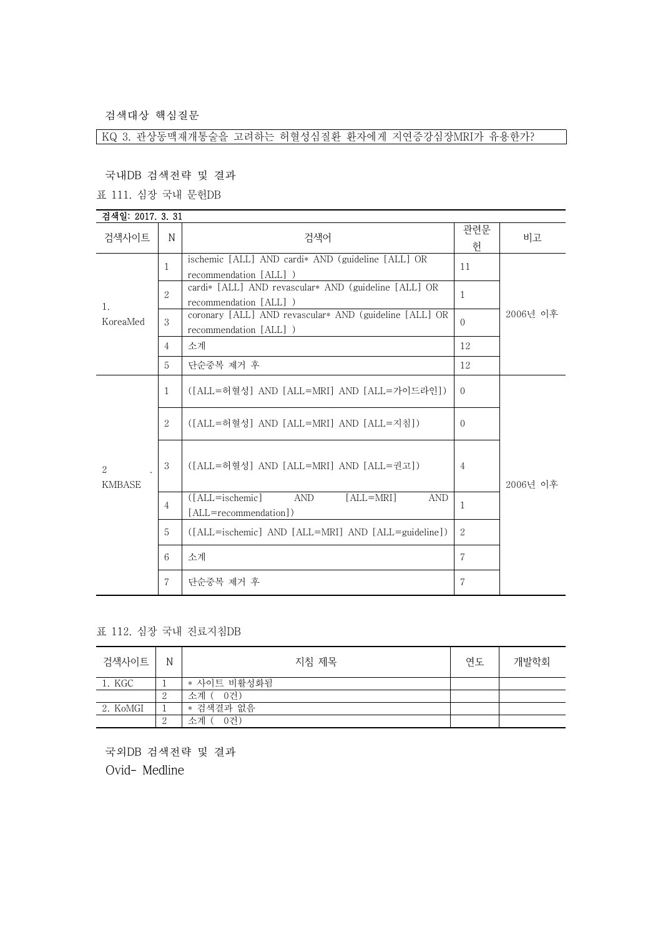검색대상 핵심질문

KQ 3. 관상동맥재개통술을 고려하는 허혈성심질환 환자에게 지연증강심장MRI가 유용한가?

국내DB 검색전략 및 결과

표 111. 심장 국내 문헌DB

| 검색일: 2017. 3. 31   |                |                                                                                  |                |          |
|--------------------|----------------|----------------------------------------------------------------------------------|----------------|----------|
| 검색사이트              | N              | 검색어                                                                              | 관련문<br>헌       | 비고       |
| 1.<br>KoreaMed     | $\mathbf{1}$   | ischemic [ALL] AND cardi* AND (guideline [ALL] OR<br>recommendation [ALL] )      | 11             | 2006년 이후 |
|                    | $\overline{2}$ | cardi* [ALL] AND revascular* AND (guideline [ALL] OR<br>recommendation [ALL])    | $\mathbf{1}$   |          |
|                    | 3              | coronary [ALL] AND revascular* AND (guideline [ALL] OR<br>recommendation [ALL] ) | $\Omega$       |          |
|                    | $\overline{4}$ | 소계                                                                               | 12             |          |
|                    | 5              | 단순중복 제거 후                                                                        | 12             |          |
| 2<br><b>KMBASE</b> | 1              | ([ALL=허혈성] AND [ALL=MRI] AND [ALL=가이드라인])                                        | $\Omega$       | 2006년 이후 |
|                    | $\mathfrak{2}$ | ([ALL=허혈성] AND [ALL=MRI] AND [ALL=지침])                                           | $\Omega$       |          |
|                    | 3              | ([ALL=허혈성] AND [ALL=MRI] AND [ALL=권고])                                           | $\overline{4}$ |          |
|                    | $\overline{4}$ | $(IALL = ischemic]$<br>AND<br>$[ALL=MRI]$<br><b>AND</b><br>[ALL=recommendation]) | -1             |          |
|                    | $\overline{5}$ | ([ALL=ischemic] AND [ALL=MRI] AND [ALL=guideline])                               | 2              |          |
|                    | 6              | 소계                                                                               | 7              |          |
|                    | 7              | 단순중복 제거 후                                                                        | 7              |          |

## 표 112. 심장 국내 진료지침DB

| 검색사이트    | N             | 지침 제목       | 연도 | 개발학회 |  |
|----------|---------------|-------------|----|------|--|
| 1. KGC   |               | * 사이트 비활성화됨 |    |      |  |
|          | $\Omega$<br>↵ | 소계 ( 0건)    |    |      |  |
| 2. KoMGI |               | * 검색결과 없음   |    |      |  |
|          | $\Omega$<br>↩ | 소계 (<br>0건) |    |      |  |

국외DB 검색전략 및 결과 Ovid- Medline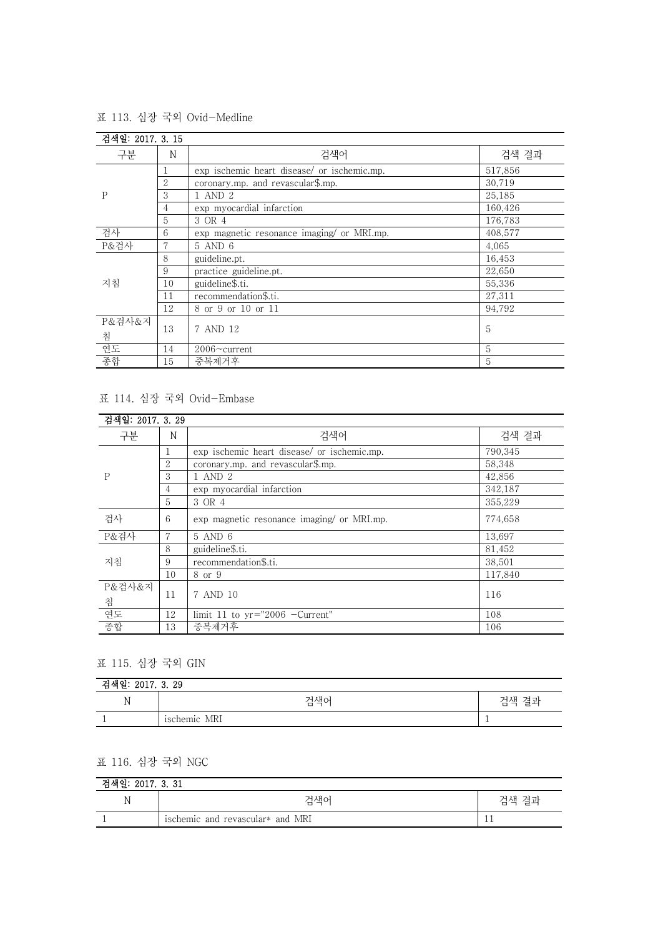검색일: 2017. 3. 15 구분 N 검색어 검색 결과 P 1 exp ischemic heart disease/ or ischemic.mp. 517,856 2 coronary.mp. and revascular\$.mp. 30,719 3 1 AND 2 25,185 4 exp myocardial infarction 160,426 5 3 OR 4 176,783 검사 6 exp magnetic resonance imaging/ or MRI.mp. 408,577  $P&່ 검사 2 5 AND 6 4,065$ 지침 8 guideline.pt. 16,453 9 practice guideline.pt. 22,650 guideline\$.ti. 55,336 11 recommendation\$.ti. 27,311 12 8 or 9 or 10 or 11 94,792 P&검사&지 | 13 침<br>연도  $7 \text{ AND } 12$  5 연도 14 2006~current 5<br>종합 15 중복제거후 5 <u> 15 중복제거후 5 동</u>

표 113. 심장 국외 Ovid-Medline

## 표 114. 심장 국외 Ovid-Embase

| 검색일: 2017. 3. 29 |             |                                             |         |
|------------------|-------------|---------------------------------------------|---------|
| 구분               | $\mathbf N$ | 검색어                                         | 검색 결과   |
|                  | T.          | exp ischemic heart disease/ or ischemic.mp. | 790,345 |
|                  | 2           | coronary.mp. and revascular\$.mp.           | 58.348  |
| P                | 3           | 1 AND 2                                     | 42,856  |
|                  | 4           | exp myocardial infarction                   | 342,187 |
|                  | 5           | 3 OR 4                                      | 355.229 |
| 검사               | 6           | exp magnetic resonance imaging or MRI.mp.   | 774,658 |
| P&검사             | 7           | 5 AND 6                                     | 13,697  |
| 지침               | 8           | guideline\$.ti.                             | 81,452  |
|                  | 9           | recommendation\$.ti.                        | 38,501  |
|                  | 10          | 8 or 9                                      | 117,840 |
| P&검사&지           |             |                                             |         |
| 침                | 11          | 7 AND 10                                    | 116     |
| 연도               | 12          | limit 11 to $yr="2006$ -Current"            | 108     |
| 종합               | 13          | 중복제거후                                       | 106     |

## 표 115. 심장 국외 GIN

| 검색일: 2017. 3. 29 |              |       |  |
|------------------|--------------|-------|--|
| N                | 검색어          | 검색 결과 |  |
|                  | ischemic MRI |       |  |

## 표 116. 심장 국외 NGC

| 검색일:<br>2017. 3. 31 |                                  |       |  |
|---------------------|----------------------------------|-------|--|
|                     | 검색어                              | 검색 결과 |  |
|                     | ischemic and revascular* and MRI | **    |  |